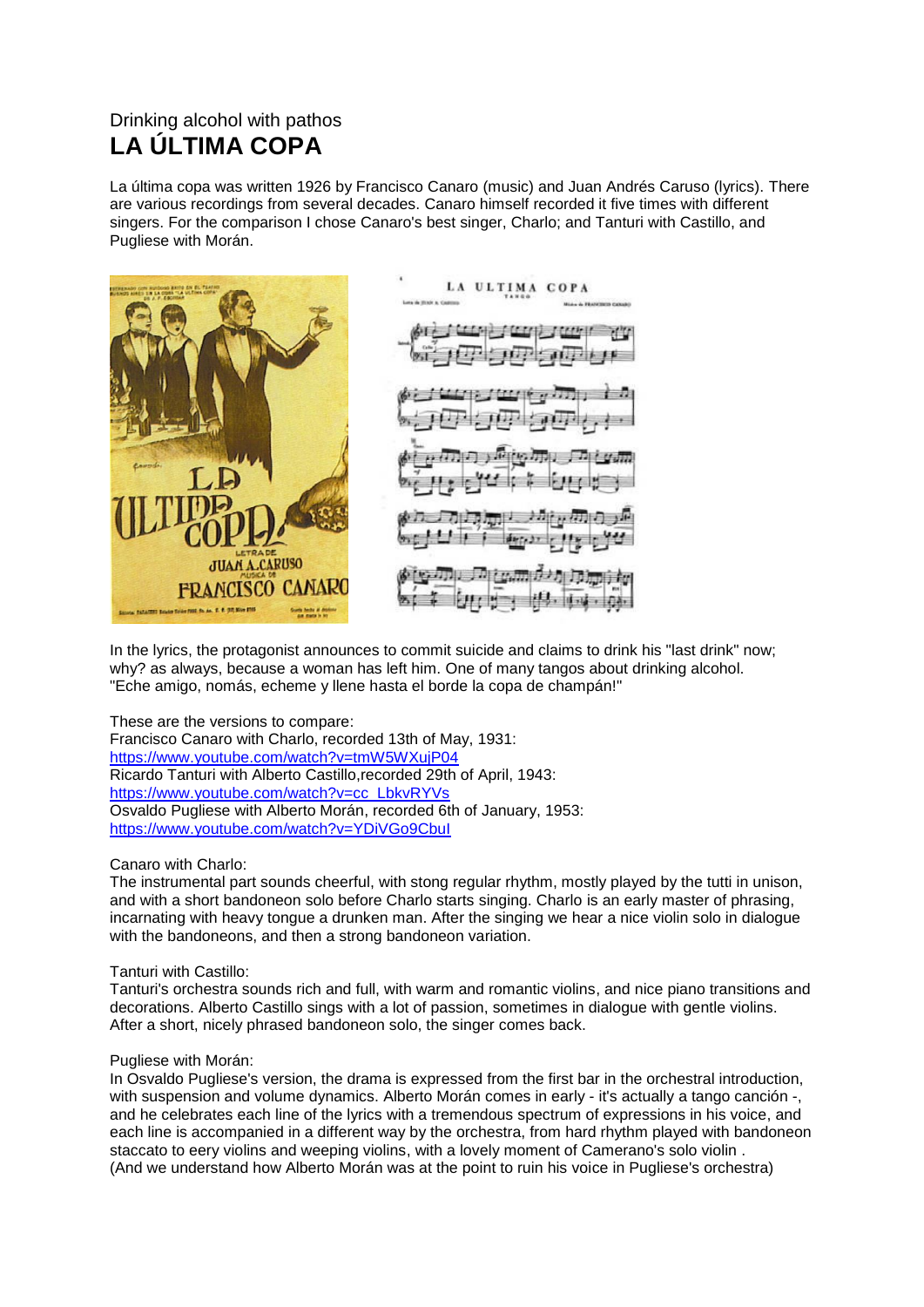## Drinking alcohol with pathos **LA ÚLTIMA COPA**

La última copa was written 1926 by Francisco Canaro (music) and Juan Andrés Caruso (lyrics). There are various recordings from several decades. Canaro himself recorded it five times with different singers. For the comparison I chose Canaro's best singer, Charlo; and Tanturi with Castillo, and Pugliese with Morán.



In the lyrics, the protagonist announces to commit suicide and claims to drink his "last drink" now; why? as always, because a woman has left him. One of many tangos about drinking alcohol. "Eche amigo, nomás, echeme y llene hasta el borde la copa de champán!"

These are the versions to compare: Francisco Canaro with Charlo, recorded 13th of May, 1931: <https://www.youtube.com/watch?v=tmW5WXujP04> Ricardo Tanturi with Alberto Castillo,recorded 29th of April, 1943: [https://www.youtube.com/watch?v=cc\\_LbkvRYVs](https://www.youtube.com/watch?v=cc_LbkvRYVs) Osvaldo Pugliese with Alberto Morán, recorded 6th of January, 1953: <https://www.youtube.com/watch?v=YDiVGo9CbuI>

## Canaro with Charlo:

The instrumental part sounds cheerful, with stong regular rhythm, mostly played by the tutti in unison, and with a short bandoneon solo before Charlo starts singing. Charlo is an early master of phrasing, incarnating with heavy tongue a drunken man. After the singing we hear a nice violin solo in dialogue with the bandoneons, and then a strong bandoneon variation.

## Tanturi with Castillo:

Tanturi's orchestra sounds rich and full, with warm and romantic violins, and nice piano transitions and decorations. Alberto Castillo sings with a lot of passion, sometimes in dialogue with gentle violins. After a short, nicely phrased bandoneon solo, the singer comes back.

## Pugliese with Morán:

In Osvaldo Pugliese's version, the drama is expressed from the first bar in the orchestral introduction, with suspension and volume dynamics. Alberto Morán comes in early - it's actually a tango canción -, and he celebrates each line of the lyrics with a tremendous spectrum of expressions in his voice, and each line is accompanied in a different way by the orchestra, from hard rhythm played with bandoneon staccato to eery violins and weeping violins, with a lovely moment of Camerano's solo violin . (And we understand how Alberto Morán was at the point to ruin his voice in Pugliese's orchestra)